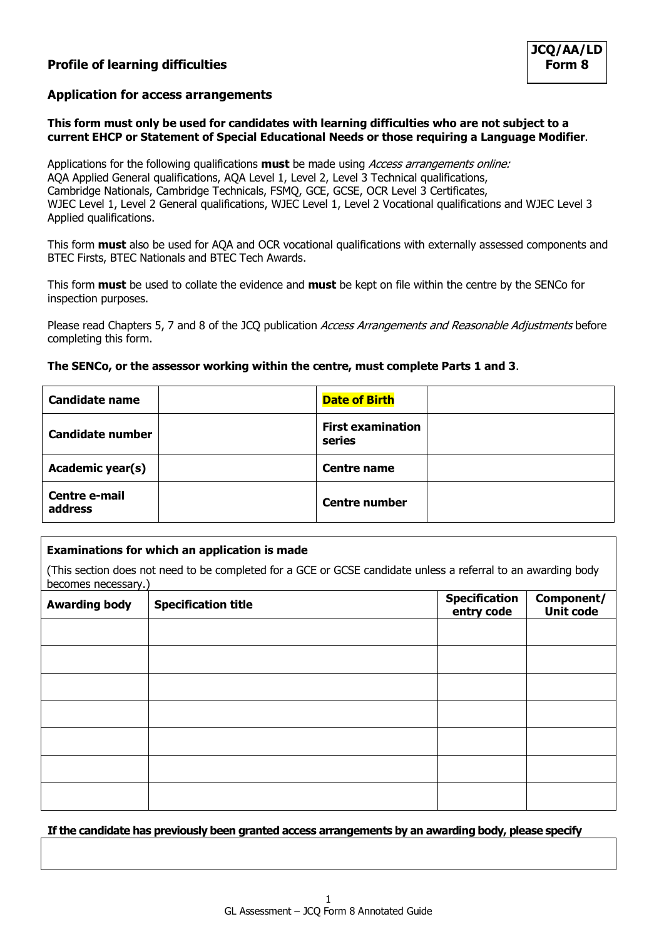# **Profile of learning difficulties**

## **Application for access arrangements**

## **This form must only be used for candidates with learning difficulties who are not subject to a current EHCP or Statement of Special Educational Needs or those requiring a Language Modifier**.

Applications for the following qualifications **must** be made using Access arrangements online: AQA Applied General qualifications, AQA Level 1, Level 2, Level 3 Technical qualifications, Cambridge Nationals, Cambridge Technicals, FSMQ, GCE, GCSE, OCR Level 3 Certificates, WJEC Level 1, Level 2 General qualifications, WJEC Level 1, Level 2 Vocational qualifications and WJEC Level 3 Applied qualifications.

This form **must** also be used for AQA and OCR vocational qualifications with externally assessed components and BTEC Firsts, BTEC Nationals and BTEC Tech Awards.

This form **must** be used to collate the evidence and **must** be kept on file within the centre by the SENCo for inspection purposes.

Please read Chapters 5, 7 and 8 of the JCO publication Access Arrangements and Reasonable Adjustments before completing this form.

### **The SENCo, or the assessor working within the centre, must complete Parts 1 and 3**.

| <b>Candidate name</b>           | <b>Date of Birth</b>               |  |
|---------------------------------|------------------------------------|--|
| <b>Candidate number</b>         | <b>First examination</b><br>series |  |
| <b>Academic year(s)</b>         | <b>Centre name</b>                 |  |
| <b>Centre e-mail</b><br>address | <b>Centre number</b>               |  |

## **Examinations for which an application is made**

(This section does not need to be completed for a GCE or GCSE candidate unless a referral to an awarding body becomes necessary.)

| <b>Awarding body</b> | <b>Specification title</b> | Specification<br>entry code | <b>Component/</b><br>Unit code |
|----------------------|----------------------------|-----------------------------|--------------------------------|
|                      |                            |                             |                                |
|                      |                            |                             |                                |
|                      |                            |                             |                                |
|                      |                            |                             |                                |
|                      |                            |                             |                                |
|                      |                            |                             |                                |
|                      |                            |                             |                                |

**If the candidate has previously been granted access arrangements by an awarding body, please specify**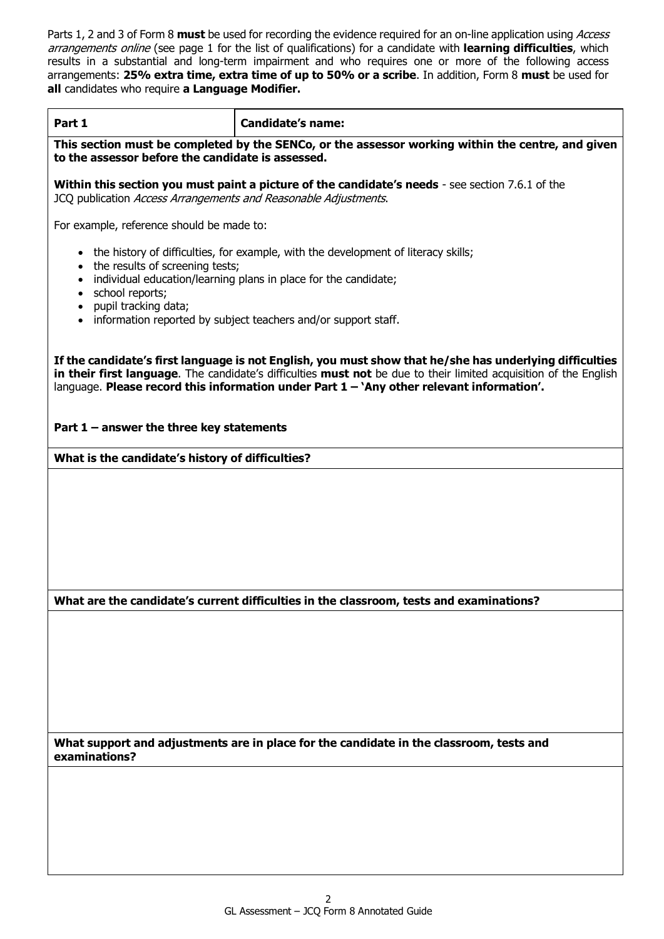Parts 1, 2 and 3 of Form 8 **must** be used for recording the evidence required for an on-line application using Access arrangements online (see page 1 for the list of qualifications) for a candidate with **learning difficulties**, which results in a substantial and long-term impairment and who requires one or more of the following access arrangements: **25% extra time, extra time of up to 50% or a scribe**. In addition, Form 8 **must** be used for **all** candidates who require **a Language Modifier.**

| Part 1                                                                                                                                                                                                                                                                                                                    | <b>Candidate's name:</b>                                                                          |  |
|---------------------------------------------------------------------------------------------------------------------------------------------------------------------------------------------------------------------------------------------------------------------------------------------------------------------------|---------------------------------------------------------------------------------------------------|--|
| to the assessor before the candidate is assessed.                                                                                                                                                                                                                                                                         | This section must be completed by the SENCo, or the assessor working within the centre, and given |  |
| JCQ publication Access Arrangements and Reasonable Adjustments.                                                                                                                                                                                                                                                           | Within this section you must paint a picture of the candidate's needs - see section 7.6.1 of the  |  |
| For example, reference should be made to:                                                                                                                                                                                                                                                                                 |                                                                                                   |  |
| the results of screening tests;                                                                                                                                                                                                                                                                                           | • the history of difficulties, for example, with the development of literacy skills;              |  |
| $\bullet$<br>$\bullet$<br>school reports;<br>$\bullet$                                                                                                                                                                                                                                                                    | individual education/learning plans in place for the candidate;                                   |  |
| pupil tracking data;<br>$\bullet$<br>$\bullet$                                                                                                                                                                                                                                                                            | information reported by subject teachers and/or support staff.                                    |  |
| If the candidate's first language is not English, you must show that he/she has underlying difficulties<br>in their first language. The candidate's difficulties must not be due to their limited acquisition of the English<br>language. Please record this information under Part 1 - 'Any other relevant information'. |                                                                                                   |  |
| Part $1$ – answer the three key statements                                                                                                                                                                                                                                                                                |                                                                                                   |  |
| What is the candidate's history of difficulties?                                                                                                                                                                                                                                                                          |                                                                                                   |  |
|                                                                                                                                                                                                                                                                                                                           |                                                                                                   |  |
|                                                                                                                                                                                                                                                                                                                           | What are the candidate's current difficulties in the classroom, tests and examinations?           |  |
|                                                                                                                                                                                                                                                                                                                           |                                                                                                   |  |
| examinations?                                                                                                                                                                                                                                                                                                             | What support and adjustments are in place for the candidate in the classroom, tests and           |  |
|                                                                                                                                                                                                                                                                                                                           |                                                                                                   |  |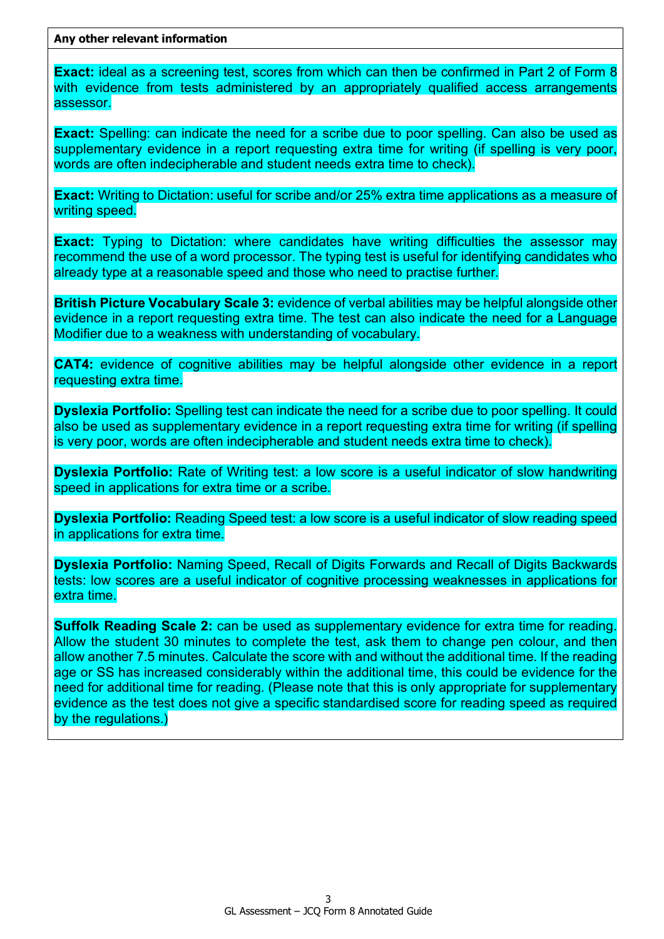**Any other relevant information**

**Exact:** ideal as a screening test, scores from which can then be confirmed in Part 2 of Form 8 with evidence from tests administered by an appropriately qualified access arrangements assessor.

**Exact:** Spelling: can indicate the need for a scribe due to poor spelling. Can also be used as supplementary evidence in a report requesting extra time for writing (if spelling is very poor, words are often indecipherable and student needs extra time to check).

**Exact:** Writing to Dictation: useful for scribe and/or 25% extra time applications as a measure of writing speed.

**Exact:** Typing to Dictation: where candidates have writing difficulties the assessor may recommend the use of a word processor. The typing test is useful for identifying candidates who already type at a reasonable speed and those who need to practise further.

**British Picture Vocabulary Scale 3:** evidence of verbal abilities may be helpful alongside other evidence in a report requesting extra time. The test can also indicate the need for a Language Modifier due to a weakness with understanding of vocabulary.

**CAT4:** evidence of cognitive abilities may be helpful alongside other evidence in a report requesting extra time.

**Dyslexia Portfolio:** Spelling test can indicate the need for a scribe due to poor spelling. It could also be used as supplementary evidence in a report requesting extra time for writing (if spelling is very poor, words are often indecipherable and student needs extra time to check).

**Dyslexia Portfolio:** Rate of Writing test: a low score is a useful indicator of slow handwriting speed in applications for extra time or a scribe.

**Dyslexia Portfolio:** Reading Speed test: a low score is a useful indicator of slow reading speed in applications for extra time.

**Dyslexia Portfolio:** Naming Speed, Recall of Digits Forwards and Recall of Digits Backwards tests: low scores are a useful indicator of cognitive processing weaknesses in applications for extra time.

**Suffolk Reading Scale 2:** can be used as supplementary evidence for extra time for reading. Allow the student 30 minutes to complete the test, ask them to change pen colour, and then allow another 7.5 minutes. Calculate the score with and without the additional time. If the reading age or SS has increased considerably within the additional time, this could be evidence for the need for additional time for reading. (Please note that this is only appropriate for supplementary evidence as the test does not give a specific standardised score for reading speed as required by the regulations.)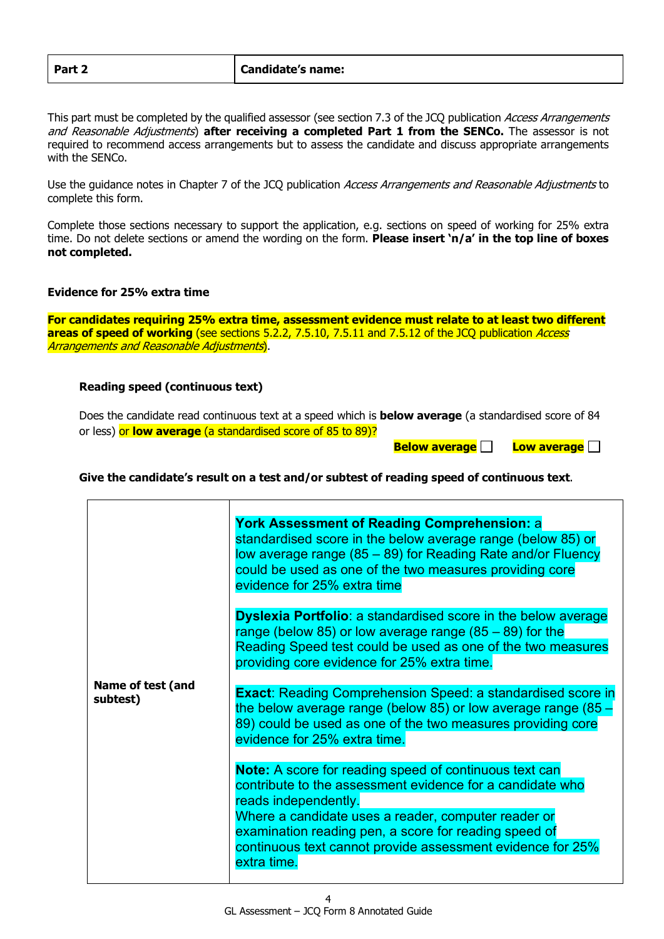This part must be completed by the qualified assessor (see section 7.3 of the JCQ publication Access Arrangements and Reasonable Adjustments) **after receiving a completed Part 1 from the SENCo.** The assessor is not required to recommend access arrangements but to assess the candidate and discuss appropriate arrangements with the SENCo.

Use the guidance notes in Chapter 7 of the JCQ publication Access Arrangements and Reasonable Adjustments to complete this form.

Complete those sections necessary to support the application, e.g. sections on speed of working for 25% extra time. Do not delete sections or amend the wording on the form. **Please insert 'n/a' in the top line of boxes not completed.**

## **Evidence for 25% extra time**

**For candidates requiring 25% extra time, assessment evidence must relate to at least two different areas of speed of working** (see sections 5.2.2, 7.5.10, 7.5.11 and 7.5.12 of the JCQ publication *Access* Arrangements and Reasonable Adjustments).

## **Reading speed (continuous text)**

Does the candidate read continuous text at a speed which is **below average** (a standardised score of 84 or less) or **low average** (a standardised score of 85 to 89)?

**Below average Act Low average Act B** 

#### **Give the candidate's result on a test and/or subtest of reading speed of continuous text**.

|                               | <b>York Assessment of Reading Comprehension: a</b><br>standardised score in the below average range (below 85) or<br>low average range (85 – 89) for Reading Rate and/or Fluency<br>could be used as one of the two measures providing core<br>evidence for 25% extra time                                                                      |
|-------------------------------|-------------------------------------------------------------------------------------------------------------------------------------------------------------------------------------------------------------------------------------------------------------------------------------------------------------------------------------------------|
|                               | <b>Dyslexia Portfolio:</b> a standardised score in the below average<br>range (below 85) or low average range $(85 - 89)$ for the<br>Reading Speed test could be used as one of the two measures<br>providing core evidence for 25% extra time.                                                                                                 |
| Name of test (and<br>subtest) | <b>Exact:</b> Reading Comprehension Speed: a standardised score in<br>the below average range (below 85) or low average range (85 $-$<br>89) could be used as one of the two measures providing core<br>evidence for 25% extra time.                                                                                                            |
|                               | <b>Note:</b> A score for reading speed of continuous text can<br>contribute to the assessment evidence for a candidate who<br>reads independently.<br>Where a candidate uses a reader, computer reader or<br>examination reading pen, a score for reading speed of<br>continuous text cannot provide assessment evidence for 25%<br>extra time. |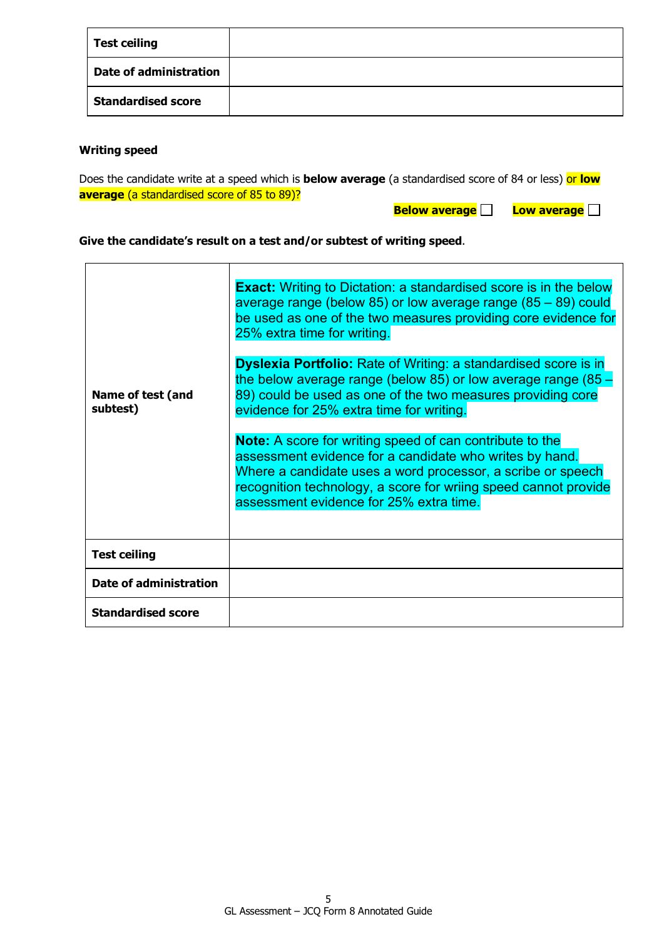| <b>Test ceiling</b>           |  |
|-------------------------------|--|
| <b>Date of administration</b> |  |
| <b>Standardised score</b>     |  |

## **Writing speed**

 $\mathbf{r}$ 

Does the candidate write at a speed which is **below average** (a standardised score of 84 or less) or **low average** (a standardised score of 85 to 89)?

**Below average Low average Q** 

## **Give the candidate's result on a test and/or subtest of writing speed**.

| Name of test (and<br>subtest) | <b>Exact:</b> Writing to Dictation: a standardised score is in the below<br>average range (below 85) or low average range (85 – 89) could<br>be used as one of the two measures providing core evidence for<br>25% extra time for writing.<br><b>Dyslexia Portfolio:</b> Rate of Writing: a standardised score is in<br>the below average range (below 85) or low average range (85 -<br>89) could be used as one of the two measures providing core<br>evidence for 25% extra time for writing.<br><b>Note:</b> A score for writing speed of can contribute to the<br>assessment evidence for a candidate who writes by hand.<br>Where a candidate uses a word processor, a scribe or speech<br>recognition technology, a score for wriing speed cannot provide<br>assessment evidence for 25% extra time. |
|-------------------------------|-------------------------------------------------------------------------------------------------------------------------------------------------------------------------------------------------------------------------------------------------------------------------------------------------------------------------------------------------------------------------------------------------------------------------------------------------------------------------------------------------------------------------------------------------------------------------------------------------------------------------------------------------------------------------------------------------------------------------------------------------------------------------------------------------------------|
| <b>Test ceiling</b>           |                                                                                                                                                                                                                                                                                                                                                                                                                                                                                                                                                                                                                                                                                                                                                                                                             |
| <b>Date of administration</b> |                                                                                                                                                                                                                                                                                                                                                                                                                                                                                                                                                                                                                                                                                                                                                                                                             |
| <b>Standardised score</b>     |                                                                                                                                                                                                                                                                                                                                                                                                                                                                                                                                                                                                                                                                                                                                                                                                             |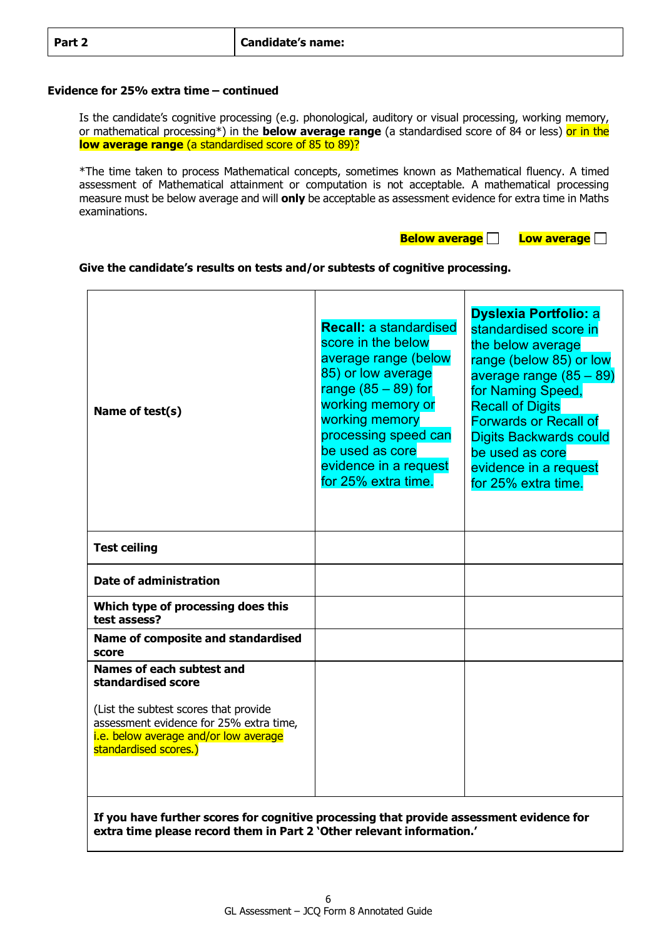### **Evidence for 25% extra time – continued**

Is the candidate's cognitive processing (e.g. phonological, auditory or visual processing, working memory, or mathematical processing\*) in the **below average range** (a standardised score of 84 or less) or in the **low average range** (a standardised score of 85 to 89)?

\*The time taken to process Mathematical concepts, sometimes known as Mathematical fluency. A timed assessment of Mathematical attainment or computation is not acceptable. A mathematical processing measure must be below average and will **only** be acceptable as assessment evidence for extra time in Maths examinations.

#### **Below average Low average**

### **Give the candidate's results on tests and/or subtests of cognitive processing.**

| Name of test(s)                                                                                                                                                                                       | <b>Recall: a standardised</b><br>score in the below<br>average range (below<br>85) or low average<br>range $(85 - 89)$ for<br>working memory or<br>working memory<br>processing speed can<br>be used as core<br>evidence in a request<br>for 25% extra time. | <b>Dyslexia Portfolio: a</b><br>standardised score in<br>the below average<br>range (below 85) or low<br>average range $(85-89)$<br>for Naming Speed,<br><b>Recall of Digits</b><br><b>Forwards or Recall of</b><br><b>Digits Backwards could</b><br>be used as core<br>evidence in a request<br>for 25% extra time. |
|-------------------------------------------------------------------------------------------------------------------------------------------------------------------------------------------------------|--------------------------------------------------------------------------------------------------------------------------------------------------------------------------------------------------------------------------------------------------------------|----------------------------------------------------------------------------------------------------------------------------------------------------------------------------------------------------------------------------------------------------------------------------------------------------------------------|
| <b>Test ceiling</b>                                                                                                                                                                                   |                                                                                                                                                                                                                                                              |                                                                                                                                                                                                                                                                                                                      |
| <b>Date of administration</b>                                                                                                                                                                         |                                                                                                                                                                                                                                                              |                                                                                                                                                                                                                                                                                                                      |
| Which type of processing does this<br>test assess?                                                                                                                                                    |                                                                                                                                                                                                                                                              |                                                                                                                                                                                                                                                                                                                      |
| Name of composite and standardised<br>score                                                                                                                                                           |                                                                                                                                                                                                                                                              |                                                                                                                                                                                                                                                                                                                      |
| Names of each subtest and<br>standardised score<br>(List the subtest scores that provide<br>assessment evidence for 25% extra time,<br>i.e. below average and/or low average<br>standardised scores.) |                                                                                                                                                                                                                                                              |                                                                                                                                                                                                                                                                                                                      |

**If you have further scores for cognitive processing that provide assessment evidence for extra time please record them in Part 2 'Other relevant information.'**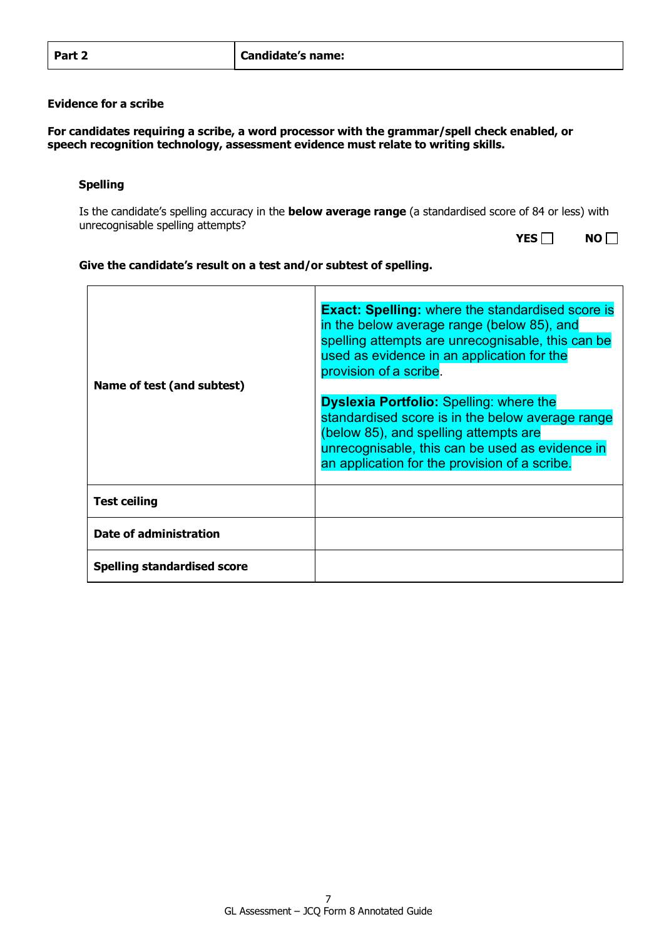### **Evidence for a scribe**

**For candidates requiring a scribe, a word processor with the grammar/spell check enabled, or speech recognition technology, assessment evidence must relate to writing skills.**

### **Spelling**

Is the candidate's spelling accuracy in the **below average range** (a standardised score of 84 or less) with unrecognisable spelling attempts?

| ٦ | K<br>۱ı<br>້ |
|---|--------------|
|---|--------------|

### **Give the candidate's result on a test and/or subtest of spelling.**

| Name of test (and subtest)         | <b>Exact: Spelling:</b> where the standardised score is<br>in the below average range (below 85), and<br>spelling attempts are unrecognisable, this can be<br>used as evidence in an application for the<br>provision of a scribe.              |  |
|------------------------------------|-------------------------------------------------------------------------------------------------------------------------------------------------------------------------------------------------------------------------------------------------|--|
|                                    | <b>Dyslexia Portfolio: Spelling: where the</b><br>standardised score is in the below average range<br>(below 85), and spelling attempts are<br>unrecognisable, this can be used as evidence in<br>an application for the provision of a scribe. |  |
| <b>Test ceiling</b>                |                                                                                                                                                                                                                                                 |  |
| Date of administration             |                                                                                                                                                                                                                                                 |  |
| <b>Spelling standardised score</b> |                                                                                                                                                                                                                                                 |  |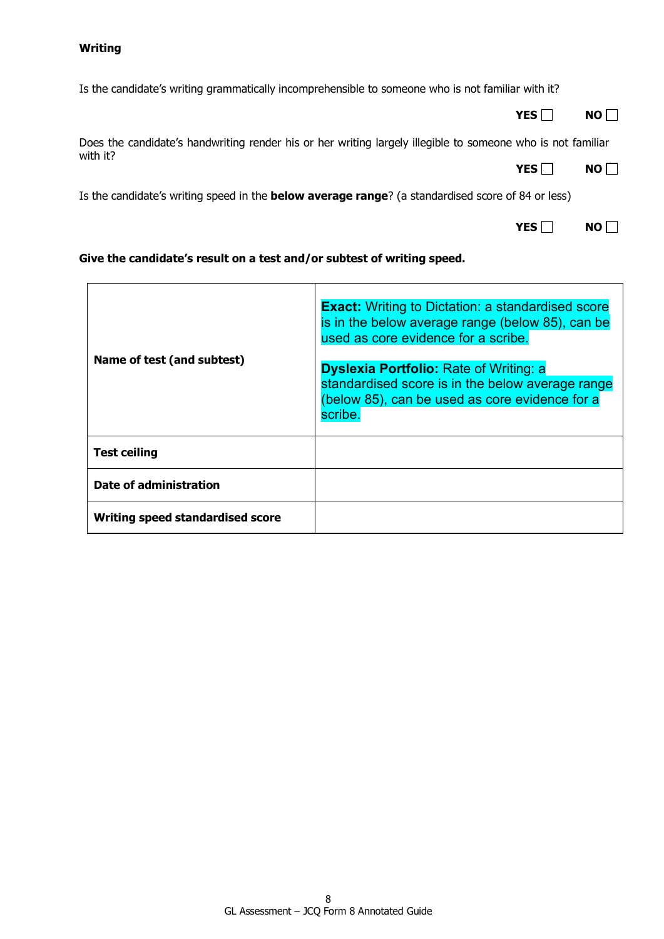Is the candidate's writing grammatically incomprehensible to someone who is not familiar with it?

**YES** NO ■

Does the candidate's handwriting render his or her writing largely illegible to someone who is not familiar with it? YES NO

Is the candidate's writing speed in the **below average range**? (a standardised score of 84 or less)

|  | ı<br>ш<br>J. |
|--|--------------|
|--|--------------|

## **Give the candidate's result on a test and/or subtest of writing speed.**

| Name of test (and subtest)       | <b>Exact:</b> Writing to Dictation: a standardised score<br>is in the below average range (below 85), can be<br>used as core evidence for a scribe.<br><b>Dyslexia Portfolio: Rate of Writing: a</b><br>standardised score is in the below average range<br>(below 85), can be used as core evidence for a<br>scribe. |
|----------------------------------|-----------------------------------------------------------------------------------------------------------------------------------------------------------------------------------------------------------------------------------------------------------------------------------------------------------------------|
| <b>Test ceiling</b>              |                                                                                                                                                                                                                                                                                                                       |
| Date of administration           |                                                                                                                                                                                                                                                                                                                       |
| Writing speed standardised score |                                                                                                                                                                                                                                                                                                                       |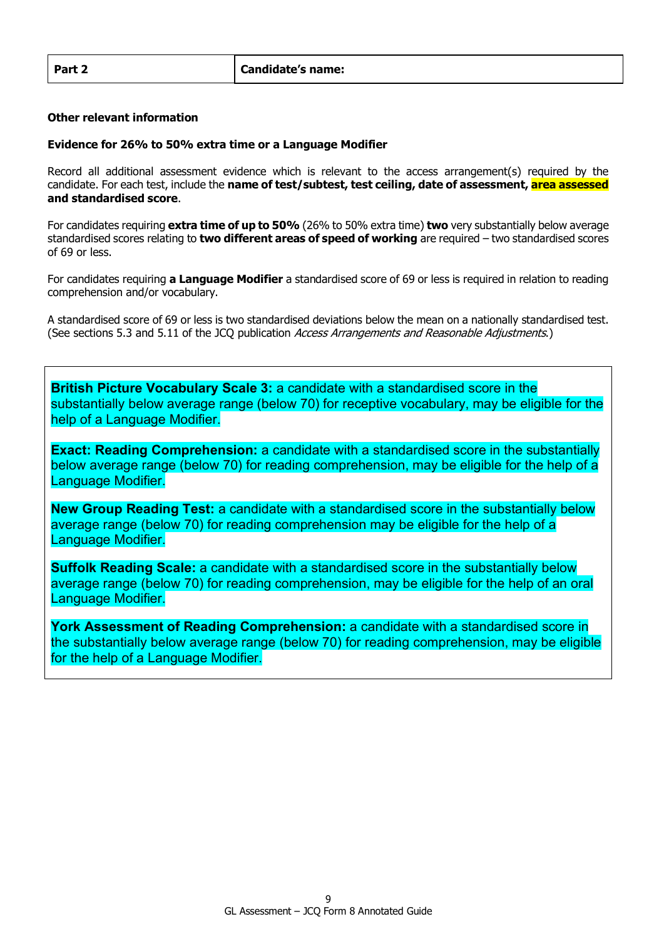### **Other relevant information**

## **Evidence for 26% to 50% extra time or a Language Modifier**

Record all additional assessment evidence which is relevant to the access arrangement(s) required by the candidate. For each test, include the **name of test/subtest, test ceiling, date of assessment, area assessed and standardised score**.

For candidates requiring **extra time of up to 50%** (26% to 50% extra time) **two** very substantially below average standardised scores relating to **two different areas of speed of working** are required – two standardised scores of 69 or less.

For candidates requiring **a Language Modifier** a standardised score of 69 or less is required in relation to reading comprehension and/or vocabulary.

A standardised score of 69 or less is two standardised deviations below the mean on a nationally standardised test. (See sections 5.3 and 5.11 of the JCQ publication Access Arrangements and Reasonable Adjustments.)

**British Picture Vocabulary Scale 3:** a candidate with a standardised score in the substantially below average range (below 70) for receptive vocabulary, may be eligible for the help of a Language Modifier.

**Exact: Reading Comprehension:** a candidate with a standardised score in the substantially below average range (below 70) for reading comprehension, may be eligible for the help of a Language Modifier.

**New Group Reading Test:** a candidate with a standardised score in the substantially below average range (below 70) for reading comprehension may be eligible for the help of a Language Modifier.

**Suffolk Reading Scale:** a candidate with a standardised score in the substantially below average range (below 70) for reading comprehension, may be eligible for the help of an oral Language Modifier.

**York Assessment of Reading Comprehension:** a candidate with a standardised score in the substantially below average range (below 70) for reading comprehension, may be eligible for the help of a Language Modifier.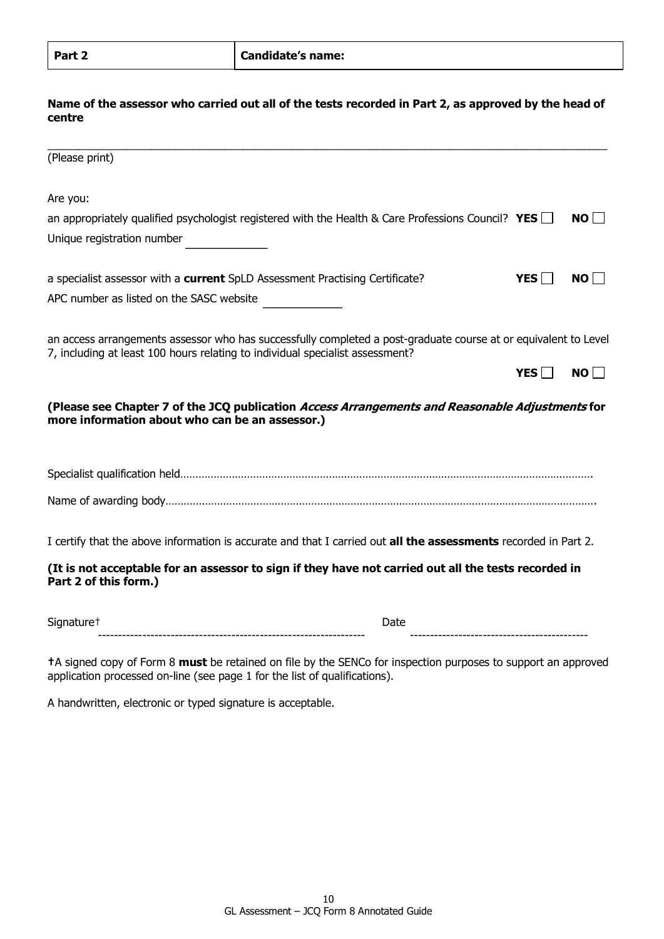## **Name of the assessor who carried out all of the tests recorded in Part 2, as approved by the head of centre**

| (Please print)                                                                                                                                                                                   |                  |                 |
|--------------------------------------------------------------------------------------------------------------------------------------------------------------------------------------------------|------------------|-----------------|
| Are you:                                                                                                                                                                                         |                  |                 |
| an appropriately qualified psychologist registered with the Health & Care Professions Council? YES $\Box$                                                                                        |                  | NO <sup>I</sup> |
| Unique registration number                                                                                                                                                                       |                  |                 |
| a specialist assessor with a current SpLD Assessment Practising Certificate?                                                                                                                     | YES <sup>[</sup> | NO              |
| APC number as listed on the SASC website                                                                                                                                                         |                  |                 |
| an access arrangements assessor who has successfully completed a post-graduate course at or equivalent to Level<br>7, including at least 100 hours relating to individual specialist assessment? |                  |                 |
|                                                                                                                                                                                                  | <b>YES</b>       | NO              |
| (Please see Chapter 7 of the JCQ publication Access Arrangements and Reasonable Adjustments for<br>more information about who can be an assessor.)                                               |                  |                 |
|                                                                                                                                                                                                  |                  |                 |
|                                                                                                                                                                                                  |                  |                 |
| I certify that the above information is accurate and that I carried out all the assessments recorded in Part 2.                                                                                  |                  |                 |
| (It is not acceptable for an assessor to sign if they have not carried out all the tests recorded in<br>Part 2 of this form.)                                                                    |                  |                 |
| Signature <sup>+</sup><br>Date                                                                                                                                                                   |                  |                 |
|                                                                                                                                                                                                  |                  |                 |

**†**A signed copy of Form 8 **must** be retained on file by the SENCo for inspection purposes to support an approved application processed on-line (see page 1 for the list of qualifications).

A handwritten, electronic or typed signature is acceptable.